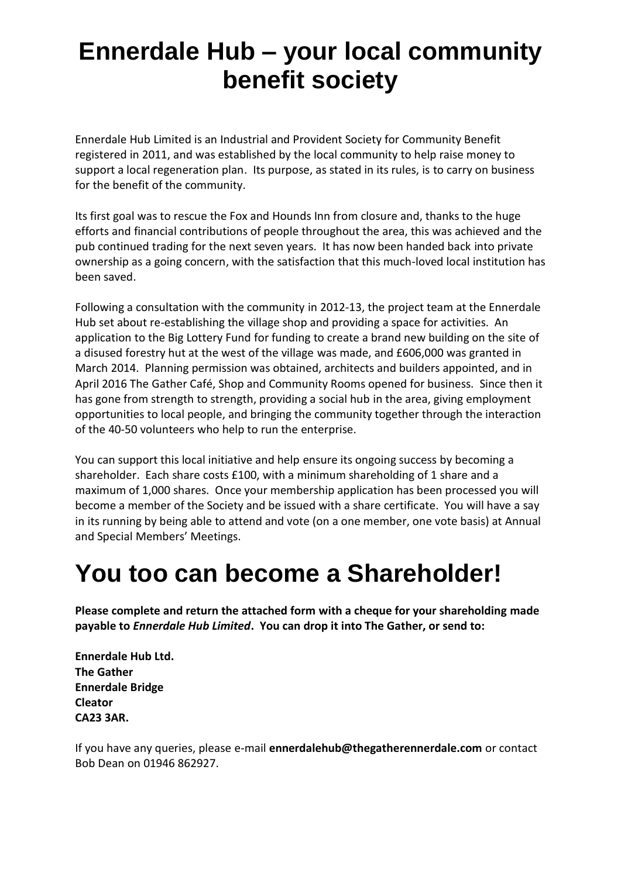## **Ennerdale Hub – your local community benefit society**

Ennerdale Hub Limited is an Industrial and Provident Society for Community Benefit registered in 2011, and was established by the local community to help raise money to support a local regeneration plan. Its purpose, as stated in its rules, is to carry on business for the benefit of the community.

Its first goal was to rescue the Fox and Hounds Inn from closure and, thanks to the huge efforts and financial contributions of people throughout the area, this was achieved and the pub continued trading for the next seven years. It has now been handed back into private ownership as a going concern, with the satisfaction that this much-loved local institution has been saved.

Following a consultation with the community in 2012-13, the project team at the Ennerdale Hub set about re-establishing the village shop and providing a space for activities. An application to the Big Lottery Fund for funding to create a brand new building on the site of a disused forestry hut at the west of the village was made, and £606,000 was granted in March 2014. Planning permission was obtained, architects and builders appointed, and in April 2016 The Gather Café, Shop and Community Rooms opened for business. Since then it has gone from strength to strength, providing a social hub in the area, giving employment opportunities to local people, and bringing the community together through the interaction of the 40-50 volunteers who help to run the enterprise.

You can support this local initiative and help ensure its ongoing success by becoming a shareholder. Each share costs £100, with a minimum shareholding of 1 share and a maximum of 1,000 shares. Once your membership application has been processed you will become a member of the Society and be issued with a share certificate. You will have a say in its running by being able to attend and vote (on a one member, one vote basis) at Annual and Special Members' Meetings.

## **You too can become a Shareholder!**

**Please complete and return the attached form with a cheque for your shareholding made payable to** *Ennerdale Hub Limited***. You can drop it into The Gather, or send to:**

**Ennerdale Hub Ltd. The Gather Ennerdale Bridge Cleator CA23 3AR.**

If you have any queries, please e-mail **ennerdalehub@thegatherennerdale.com** or contact Bob Dean on 01946 862927.